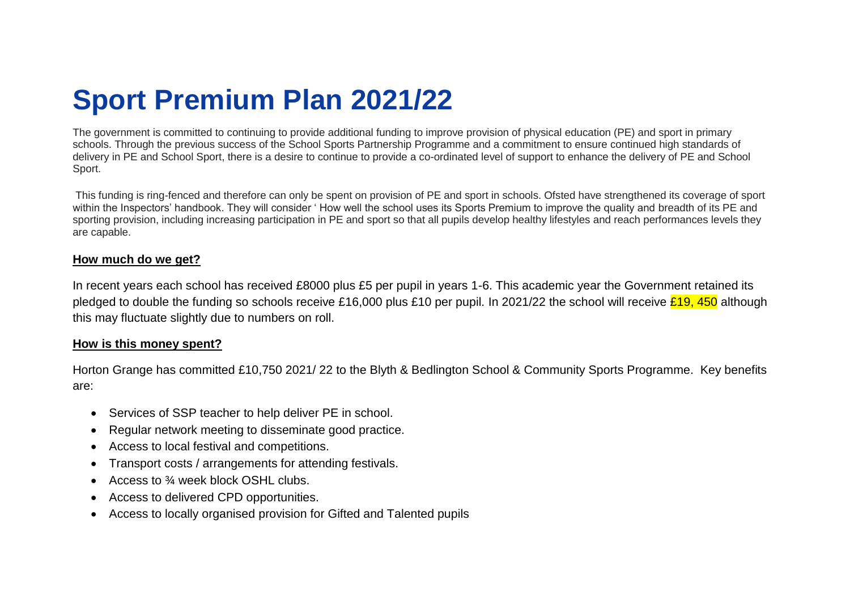## **Sport Premium Plan 2021/22**

The government is committed to continuing to provide additional funding to improve provision of physical education (PE) and sport in primary schools. Through the previous success of the School Sports Partnership Programme and a commitment to ensure continued high standards of delivery in PE and School Sport, there is a desire to continue to provide a co-ordinated level of support to enhance the delivery of PE and School Sport.

This funding is ring-fenced and therefore can only be spent on provision of PE and sport in schools. Ofsted have strengthened its coverage of sport within the Inspectors' handbook. They will consider ' How well the school uses its Sports Premium to improve the quality and breadth of its PE and sporting provision, including increasing participation in PE and sport so that all pupils develop healthy lifestyles and reach performances levels they are capable.

## **How much do we get?**

In recent years each school has received £8000 plus £5 per pupil in years 1-6. This academic year the Government retained its pledged to double the funding so schools receive £16,000 plus £10 per pupil. In 2021/22 the school will receive  $\frac{219}{50}$  although this may fluctuate slightly due to numbers on roll.

## **How is this money spent?**

Horton Grange has committed £10,750 2021/ 22 to the Blyth & Bedlington School & Community Sports Programme. Key benefits are:

- Services of SSP teacher to help deliver PE in school.
- Regular network meeting to disseminate good practice.
- Access to local festival and competitions.
- Transport costs / arrangements for attending festivals.
- Access to  $\frac{3}{4}$  week block OSHL clubs.
- Access to delivered CPD opportunities.
- Access to locally organised provision for Gifted and Talented pupils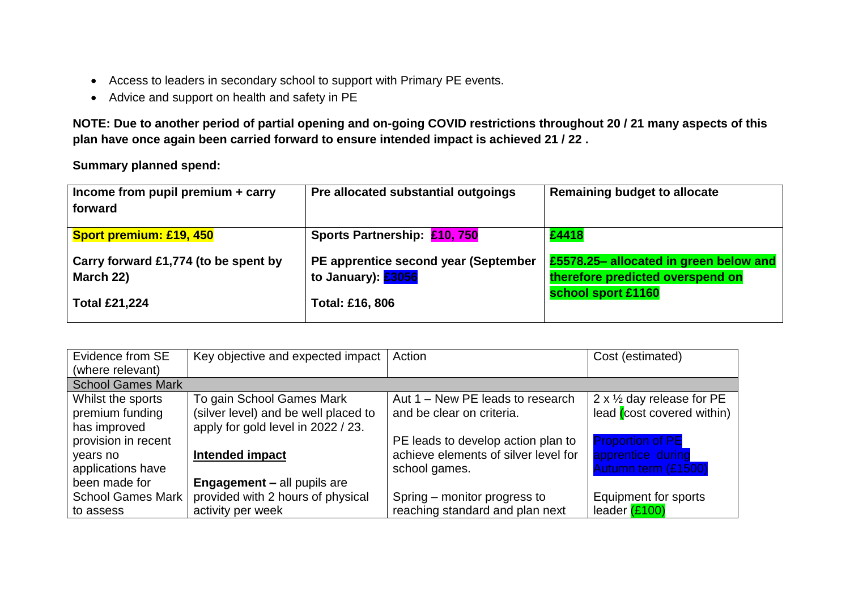- Access to leaders in secondary school to support with Primary PE events.
- Advice and support on health and safety in PE

**NOTE: Due to another period of partial opening and on-going COVID restrictions throughout 20 / 21 many aspects of this plan have once again been carried forward to ensure intended impact is achieved 21 / 22 .** 

**Summary planned spend:**

| Income from pupil premium $+$ carry  | Pre allocated substantial outgoings  | <b>Remaining budget to allocate</b>    |
|--------------------------------------|--------------------------------------|----------------------------------------|
| forward                              |                                      |                                        |
|                                      |                                      |                                        |
| <b>Sport premium: £19, 450</b>       | Sports Partnership: £10,750          | £4418                                  |
|                                      |                                      |                                        |
| Carry forward £1,774 (to be spent by | PE apprentice second year (September | £5578.25- allocated in green below and |
| March 22)                            | to January): <b>£3056</b>            | therefore predicted overspend on       |
|                                      |                                      |                                        |
| <b>Total £21,224</b>                 | <b>Total: £16, 806</b>               | school sport £1160                     |
|                                      |                                      |                                        |
|                                      |                                      |                                        |

| Evidence from SE         | Key objective and expected impact    | Action                               | Cost (estimated)                     |
|--------------------------|--------------------------------------|--------------------------------------|--------------------------------------|
| (where relevant)         |                                      |                                      |                                      |
| <b>School Games Mark</b> |                                      |                                      |                                      |
| Whilst the sports        | To gain School Games Mark            | Aut 1 – New PE leads to research     | 2 x $\frac{1}{2}$ day release for PE |
| premium funding          | (silver level) and be well placed to | and be clear on criteria.            | lead (cost covered within)           |
| has improved             | apply for gold level in 2022 / 23.   |                                      |                                      |
| provision in recent      |                                      | PE leads to develop action plan to   | <b>Proportion of PE</b>              |
| years no                 | <b>Intended impact</b>               | achieve elements of silver level for | apprentice during                    |
| applications have        |                                      | school games.                        | Autumn term (£1500)                  |
| been made for            | <b>Engagement - all pupils are</b>   |                                      |                                      |
| <b>School Games Mark</b> | provided with 2 hours of physical    | Spring – monitor progress to         | Equipment for sports                 |
| to assess                | activity per week                    | reaching standard and plan next      | leader (£100)                        |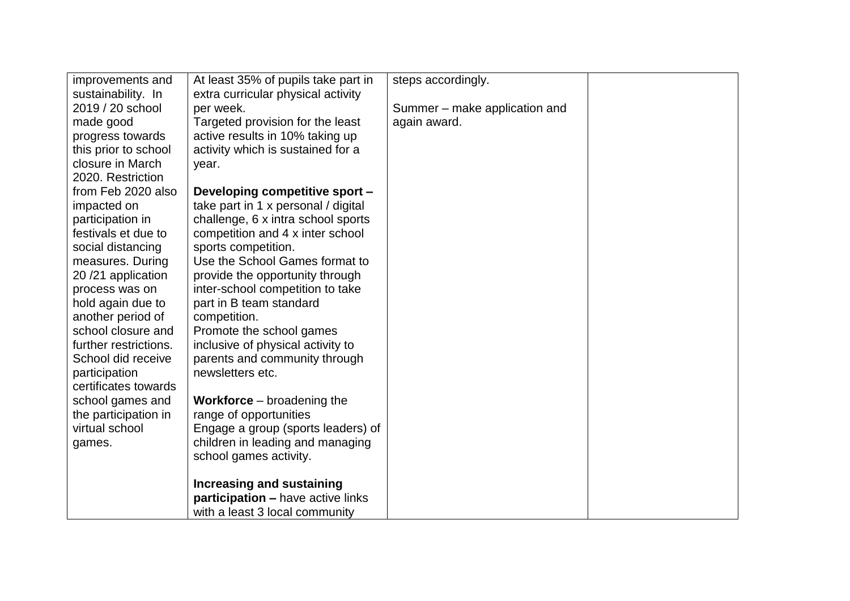| improvements and      | At least 35% of pupils take part in | steps accordingly.            |  |
|-----------------------|-------------------------------------|-------------------------------|--|
| sustainability. In    | extra curricular physical activity  |                               |  |
| 2019 / 20 school      | per week.                           | Summer – make application and |  |
| made good             | Targeted provision for the least    | again award.                  |  |
| progress towards      | active results in 10% taking up     |                               |  |
| this prior to school  | activity which is sustained for a   |                               |  |
| closure in March      | year.                               |                               |  |
| 2020. Restriction     |                                     |                               |  |
| from Feb 2020 also    | Developing competitive sport -      |                               |  |
| impacted on           | take part in 1 x personal / digital |                               |  |
| participation in      | challenge, 6 x intra school sports  |                               |  |
| festivals et due to   | competition and 4 x inter school    |                               |  |
| social distancing     | sports competition.                 |                               |  |
| measures. During      | Use the School Games format to      |                               |  |
| 20/21 application     | provide the opportunity through     |                               |  |
| process was on        | inter-school competition to take    |                               |  |
| hold again due to     | part in B team standard             |                               |  |
| another period of     | competition.                        |                               |  |
| school closure and    | Promote the school games            |                               |  |
| further restrictions. | inclusive of physical activity to   |                               |  |
| School did receive    | parents and community through       |                               |  |
| participation         | newsletters etc.                    |                               |  |
| certificates towards  |                                     |                               |  |
| school games and      | <b>Workforce</b> $-$ broadening the |                               |  |
| the participation in  | range of opportunities              |                               |  |
| virtual school        | Engage a group (sports leaders) of  |                               |  |
| games.                | children in leading and managing    |                               |  |
|                       | school games activity.              |                               |  |
|                       |                                     |                               |  |
|                       | Increasing and sustaining           |                               |  |
|                       | participation - have active links   |                               |  |
|                       | with a least 3 local community      |                               |  |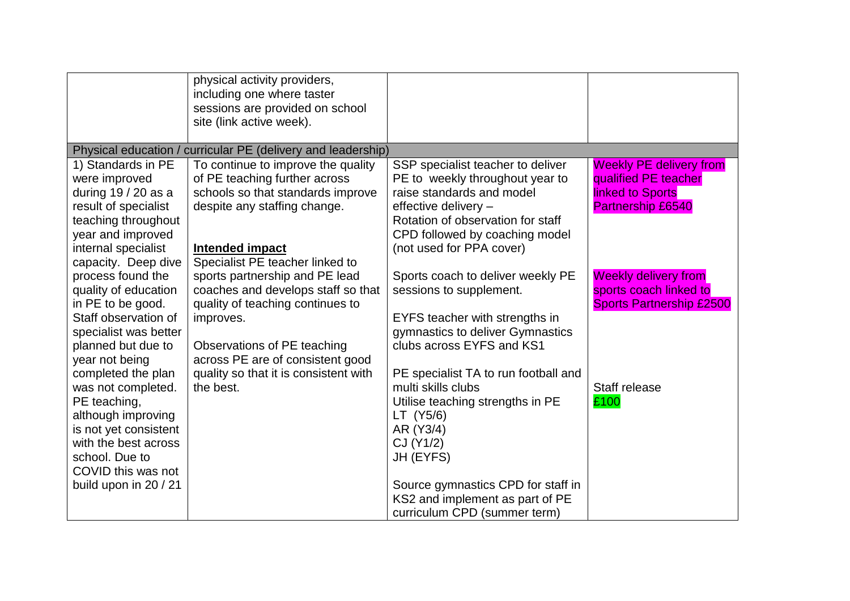|                                    | physical activity providers,<br>including one where taster<br>sessions are provided on school<br>site (link active week). |                                                            |                                 |
|------------------------------------|---------------------------------------------------------------------------------------------------------------------------|------------------------------------------------------------|---------------------------------|
|                                    | Physical education / curricular PE (delivery and leadership)                                                              |                                                            |                                 |
| 1) Standards in PE                 | To continue to improve the quality                                                                                        | SSP specialist teacher to deliver                          | <b>Weekly PE delivery from</b>  |
| were improved                      | of PE teaching further across                                                                                             | PE to weekly throughout year to                            | qualified PE teacher            |
| during 19 / 20 as a                | schools so that standards improve                                                                                         | raise standards and model                                  | <b>linked to Sports</b>         |
| result of specialist               | despite any staffing change.                                                                                              | effective delivery -                                       | <b>Partnership £6540</b>        |
| teaching throughout                |                                                                                                                           | Rotation of observation for staff                          |                                 |
| year and improved                  |                                                                                                                           | CPD followed by coaching model                             |                                 |
| internal specialist                | <b>Intended impact</b>                                                                                                    | (not used for PPA cover)                                   |                                 |
| capacity. Deep dive                | Specialist PE teacher linked to                                                                                           |                                                            |                                 |
| process found the                  | sports partnership and PE lead                                                                                            | Sports coach to deliver weekly PE                          | <b>Weekly delivery from</b>     |
| quality of education               | coaches and develops staff so that                                                                                        | sessions to supplement.                                    | sports coach linked to          |
| in PE to be good.                  | quality of teaching continues to                                                                                          |                                                            | <b>Sports Partnership £2500</b> |
| Staff observation of               | improves.                                                                                                                 | EYFS teacher with strengths in                             |                                 |
| specialist was better              |                                                                                                                           | gymnastics to deliver Gymnastics                           |                                 |
| planned but due to                 | Observations of PE teaching                                                                                               | clubs across EYFS and KS1                                  |                                 |
| year not being                     | across PE are of consistent good                                                                                          |                                                            |                                 |
| completed the plan                 | quality so that it is consistent with                                                                                     | PE specialist TA to run football and<br>multi skills clubs | Staff release                   |
| was not completed.<br>PE teaching, | the best.                                                                                                                 |                                                            |                                 |
| although improving                 |                                                                                                                           | Utilise teaching strengths in PE<br>LT (Y5/6)              | £100                            |
| is not yet consistent              |                                                                                                                           | AR (Y3/4)                                                  |                                 |
| with the best across               |                                                                                                                           | CJ (Y1/2)                                                  |                                 |
| school. Due to                     |                                                                                                                           | JH (EYFS)                                                  |                                 |
| COVID this was not                 |                                                                                                                           |                                                            |                                 |
| build upon in 20 / 21              |                                                                                                                           | Source gymnastics CPD for staff in                         |                                 |
|                                    |                                                                                                                           | KS2 and implement as part of PE                            |                                 |
|                                    |                                                                                                                           | curriculum CPD (summer term)                               |                                 |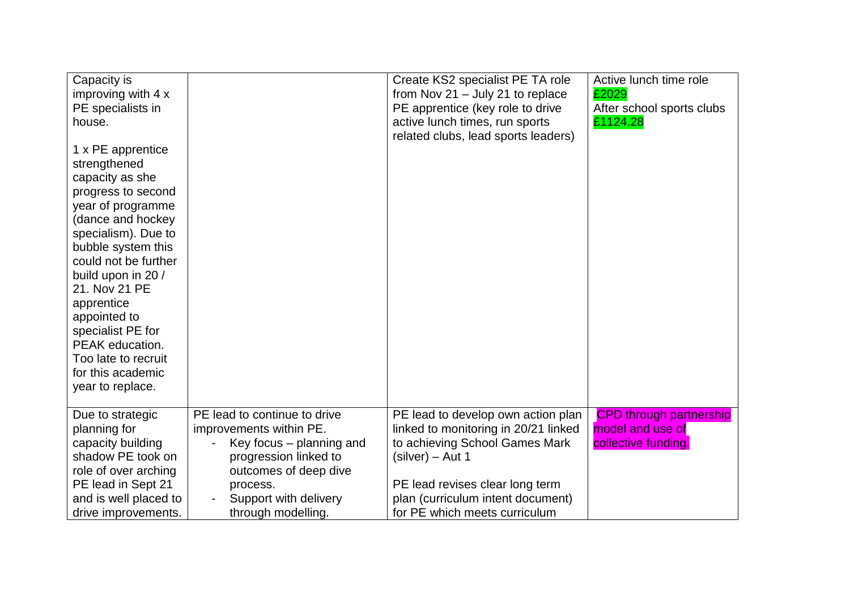| Capacity is<br>improving with 4 x<br>PE specialists in<br>house.<br>1 x PE apprentice<br>strengthened<br>capacity as she<br>progress to second<br>year of programme<br>(dance and hockey<br>specialism). Due to<br>bubble system this<br>could not be further<br>build upon in 20 /<br>21. Nov 21 PE<br>apprentice<br>appointed to<br>specialist PE for<br>PEAK education.<br>Too late to recruit<br>for this academic<br>year to replace. |                                                                                                                                                                                                  | Create KS2 specialist PE TA role<br>from Nov $21 -$ July 21 to replace<br>PE apprentice (key role to drive<br>active lunch times, run sports<br>related clubs, lead sports leaders)                                                       | Active lunch time role<br>£2029<br>After school sports clubs<br>£1124.28  |
|--------------------------------------------------------------------------------------------------------------------------------------------------------------------------------------------------------------------------------------------------------------------------------------------------------------------------------------------------------------------------------------------------------------------------------------------|--------------------------------------------------------------------------------------------------------------------------------------------------------------------------------------------------|-------------------------------------------------------------------------------------------------------------------------------------------------------------------------------------------------------------------------------------------|---------------------------------------------------------------------------|
| Due to strategic<br>planning for<br>capacity building<br>shadow PE took on<br>role of over arching<br>PE lead in Sept 21<br>and is well placed to<br>drive improvements.                                                                                                                                                                                                                                                                   | PE lead to continue to drive<br>improvements within PE.<br>Key focus – planning and<br>progression linked to<br>outcomes of deep dive<br>process.<br>Support with delivery<br>through modelling. | PE lead to develop own action plan<br>linked to monitoring in 20/21 linked<br>to achieving School Games Mark<br>(silver) – Aut 1<br>PE lead revises clear long term<br>plan (curriculum intent document)<br>for PE which meets curriculum | <b>CPD through partnership</b><br>model and use of<br>collective funding. |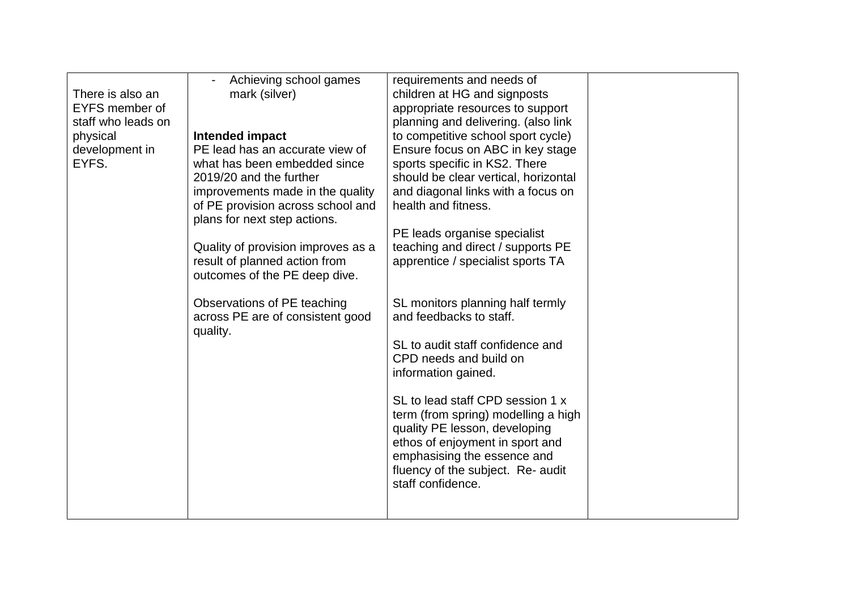| There is also an                                          | Achieving school games<br>mark (silver)                                                                                                                                                                                                                      | requirements and needs of<br>children at HG and signposts                                                                                                                                                                                                                                                                |  |
|-----------------------------------------------------------|--------------------------------------------------------------------------------------------------------------------------------------------------------------------------------------------------------------------------------------------------------------|--------------------------------------------------------------------------------------------------------------------------------------------------------------------------------------------------------------------------------------------------------------------------------------------------------------------------|--|
| EYFS member of                                            |                                                                                                                                                                                                                                                              | appropriate resources to support                                                                                                                                                                                                                                                                                         |  |
| staff who leads on<br>physical<br>development in<br>EYFS. | Intended impact<br>PE lead has an accurate view of<br>what has been embedded since<br>2019/20 and the further<br>improvements made in the quality<br>of PE provision across school and<br>plans for next step actions.<br>Quality of provision improves as a | planning and delivering. (also link<br>to competitive school sport cycle)<br>Ensure focus on ABC in key stage<br>sports specific in KS2. There<br>should be clear vertical, horizontal<br>and diagonal links with a focus on<br>health and fitness.<br>PE leads organise specialist<br>teaching and direct / supports PE |  |
|                                                           | result of planned action from<br>outcomes of the PE deep dive.                                                                                                                                                                                               | apprentice / specialist sports TA                                                                                                                                                                                                                                                                                        |  |
|                                                           | Observations of PE teaching<br>across PE are of consistent good<br>quality.                                                                                                                                                                                  | SL monitors planning half termly<br>and feedbacks to staff.<br>SL to audit staff confidence and<br>CPD needs and build on<br>information gained.<br>SL to lead staff CPD session 1 x<br>term (from spring) modelling a high                                                                                              |  |
|                                                           |                                                                                                                                                                                                                                                              | quality PE lesson, developing<br>ethos of enjoyment in sport and<br>emphasising the essence and<br>fluency of the subject. Re- audit<br>staff confidence.                                                                                                                                                                |  |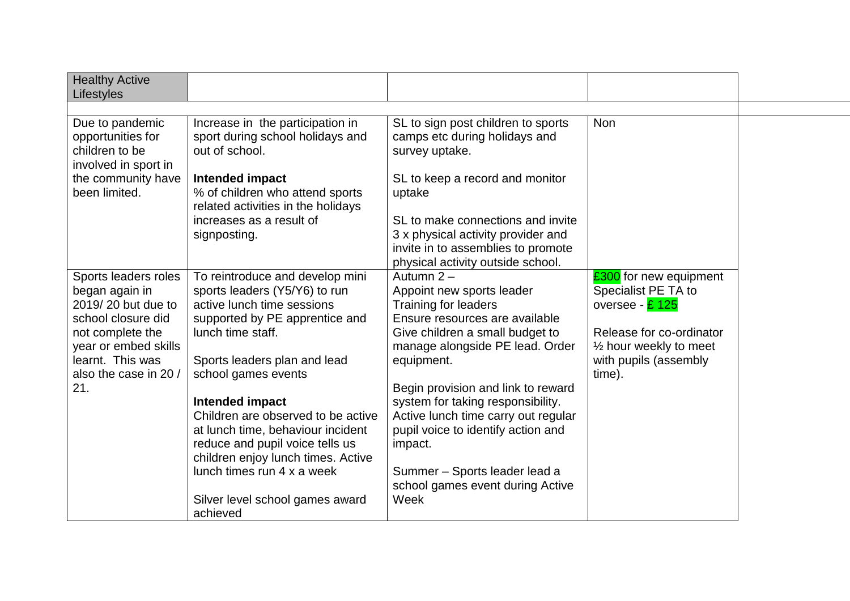| <b>Healthy Active</b><br>Lifestyles                                                |                                                                                                                                                                     |                                                                                                                                                    |                                                                  |  |
|------------------------------------------------------------------------------------|---------------------------------------------------------------------------------------------------------------------------------------------------------------------|----------------------------------------------------------------------------------------------------------------------------------------------------|------------------------------------------------------------------|--|
|                                                                                    |                                                                                                                                                                     |                                                                                                                                                    |                                                                  |  |
| Due to pandemic<br>opportunities for<br>children to be<br>involved in sport in     | Increase in the participation in<br>sport during school holidays and<br>out of school.                                                                              | SL to sign post children to sports<br>camps etc during holidays and<br>survey uptake.                                                              | <b>Non</b>                                                       |  |
| the community have<br>been limited.                                                | Intended impact<br>% of children who attend sports<br>related activities in the holidays                                                                            | SL to keep a record and monitor<br>uptake                                                                                                          |                                                                  |  |
|                                                                                    | increases as a result of<br>signposting.                                                                                                                            | SL to make connections and invite<br>3 x physical activity provider and<br>invite in to assemblies to promote<br>physical activity outside school. |                                                                  |  |
| Sports leaders roles<br>began again in<br>2019/20 but due to<br>school closure did | To reintroduce and develop mini<br>sports leaders (Y5/Y6) to run<br>active lunch time sessions<br>supported by PE apprentice and                                    | Autumn 2-<br>Appoint new sports leader<br><b>Training for leaders</b><br>Ensure resources are available                                            | £300 for new equipment<br>Specialist PE TA to<br>oversee - £ 125 |  |
| not complete the<br>year or embed skills                                           | lunch time staff.                                                                                                                                                   | Give children a small budget to<br>manage alongside PE lead. Order                                                                                 | Release for co-ordinator<br>$\frac{1}{2}$ hour weekly to meet    |  |
| learnt. This was<br>also the case in 20 /<br>21.                                   | Sports leaders plan and lead<br>school games events                                                                                                                 | equipment.<br>Begin provision and link to reward                                                                                                   | with pupils (assembly<br>time).                                  |  |
|                                                                                    | Intended impact<br>Children are observed to be active<br>at lunch time, behaviour incident<br>reduce and pupil voice tells us<br>children enjoy lunch times. Active | system for taking responsibility.<br>Active lunch time carry out regular<br>pupil voice to identify action and<br>impact.                          |                                                                  |  |
|                                                                                    | lunch times run 4 x a week<br>Silver level school games award<br>achieved                                                                                           | Summer - Sports leader lead a<br>school games event during Active<br>Week                                                                          |                                                                  |  |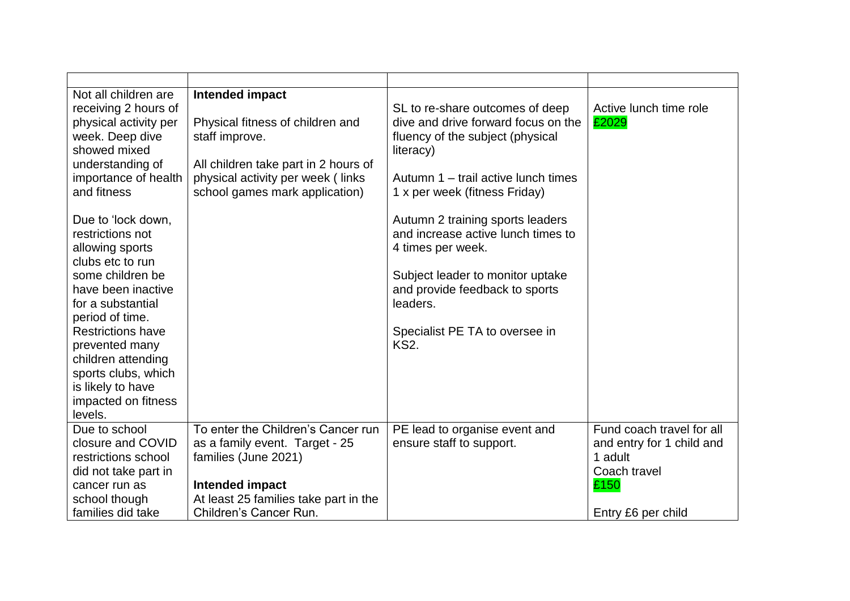| Not all children are<br>receiving 2 hours of<br>physical activity per<br>week. Deep dive<br>showed mixed<br>understanding of<br>importance of health<br>and fitness                                                                                                                                               | Intended impact<br>Physical fitness of children and<br>staff improve.<br>All children take part in 2 hours of<br>physical activity per week (links<br>school games mark application) | SL to re-share outcomes of deep<br>dive and drive forward focus on the<br>fluency of the subject (physical<br>literacy)<br>Autumn 1 – trail active lunch times<br>1 x per week (fitness Friday)                                | Active lunch time role<br>£2029                                                                                 |
|-------------------------------------------------------------------------------------------------------------------------------------------------------------------------------------------------------------------------------------------------------------------------------------------------------------------|--------------------------------------------------------------------------------------------------------------------------------------------------------------------------------------|--------------------------------------------------------------------------------------------------------------------------------------------------------------------------------------------------------------------------------|-----------------------------------------------------------------------------------------------------------------|
| Due to 'lock down,<br>restrictions not<br>allowing sports<br>clubs etc to run<br>some children be<br>have been inactive<br>for a substantial<br>period of time.<br><b>Restrictions have</b><br>prevented many<br>children attending<br>sports clubs, which<br>is likely to have<br>impacted on fitness<br>levels. |                                                                                                                                                                                      | Autumn 2 training sports leaders<br>and increase active lunch times to<br>4 times per week.<br>Subject leader to monitor uptake<br>and provide feedback to sports<br>leaders.<br>Specialist PE TA to oversee in<br><b>KS2.</b> |                                                                                                                 |
| Due to school<br>closure and COVID<br>restrictions school<br>did not take part in<br>cancer run as<br>school though<br>families did take                                                                                                                                                                          | To enter the Children's Cancer run<br>as a family event. Target - 25<br>families (June 2021)<br>Intended impact<br>At least 25 families take part in the<br>Children's Cancer Run.   | PE lead to organise event and<br>ensure staff to support.                                                                                                                                                                      | Fund coach travel for all<br>and entry for 1 child and<br>1 adult<br>Coach travel<br>£150<br>Entry £6 per child |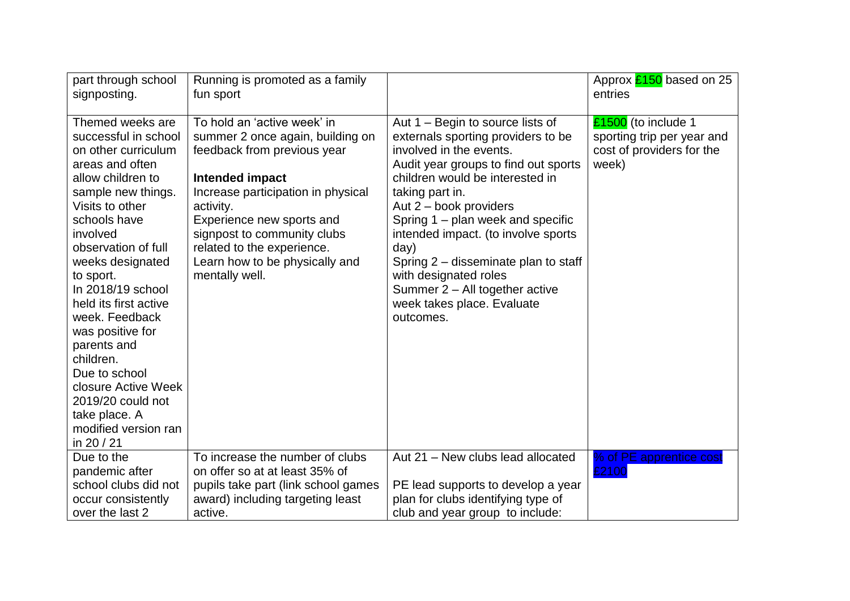| part through school<br>signposting.                                                                                                                                                                                                                                                                                                                                                                                                                                      | Running is promoted as a family<br>fun sport                                                                                                                                                                                                                                                                       |                                                                                                                                                                                                                                                                                                                                                                                                                                                             | Approx $\frac{2150}{20}$ based on 25<br>entries                                         |
|--------------------------------------------------------------------------------------------------------------------------------------------------------------------------------------------------------------------------------------------------------------------------------------------------------------------------------------------------------------------------------------------------------------------------------------------------------------------------|--------------------------------------------------------------------------------------------------------------------------------------------------------------------------------------------------------------------------------------------------------------------------------------------------------------------|-------------------------------------------------------------------------------------------------------------------------------------------------------------------------------------------------------------------------------------------------------------------------------------------------------------------------------------------------------------------------------------------------------------------------------------------------------------|-----------------------------------------------------------------------------------------|
| Themed weeks are<br>successful in school<br>on other curriculum<br>areas and often<br>allow children to<br>sample new things.<br>Visits to other<br>schools have<br>involved<br>observation of full<br>weeks designated<br>to sport.<br>In 2018/19 school<br>held its first active<br>week. Feedback<br>was positive for<br>parents and<br>children.<br>Due to school<br>closure Active Week<br>2019/20 could not<br>take place. A<br>modified version ran<br>in 20 / 21 | To hold an 'active week' in<br>summer 2 once again, building on<br>feedback from previous year<br>Intended impact<br>Increase participation in physical<br>activity.<br>Experience new sports and<br>signpost to community clubs<br>related to the experience.<br>Learn how to be physically and<br>mentally well. | Aut 1 – Begin to source lists of<br>externals sporting providers to be<br>involved in the events.<br>Audit year groups to find out sports<br>children would be interested in<br>taking part in.<br>Aut 2 - book providers<br>Spring 1 – plan week and specific<br>intended impact. (to involve sports<br>day)<br>Spring 2 – disseminate plan to staff<br>with designated roles<br>Summer 2 - All together active<br>week takes place. Evaluate<br>outcomes. | £1500 (to include 1<br>sporting trip per year and<br>cost of providers for the<br>week) |
| Due to the<br>pandemic after                                                                                                                                                                                                                                                                                                                                                                                                                                             | To increase the number of clubs<br>on offer so at at least 35% of                                                                                                                                                                                                                                                  | Aut 21 - New clubs lead allocated                                                                                                                                                                                                                                                                                                                                                                                                                           | % of PE apprentice cost<br>£2100                                                        |
| school clubs did not                                                                                                                                                                                                                                                                                                                                                                                                                                                     | pupils take part (link school games                                                                                                                                                                                                                                                                                | PE lead supports to develop a year                                                                                                                                                                                                                                                                                                                                                                                                                          |                                                                                         |
| occur consistently                                                                                                                                                                                                                                                                                                                                                                                                                                                       | award) including targeting least                                                                                                                                                                                                                                                                                   | plan for clubs identifying type of                                                                                                                                                                                                                                                                                                                                                                                                                          |                                                                                         |
| over the last 2                                                                                                                                                                                                                                                                                                                                                                                                                                                          | active.                                                                                                                                                                                                                                                                                                            | club and year group to include:                                                                                                                                                                                                                                                                                                                                                                                                                             |                                                                                         |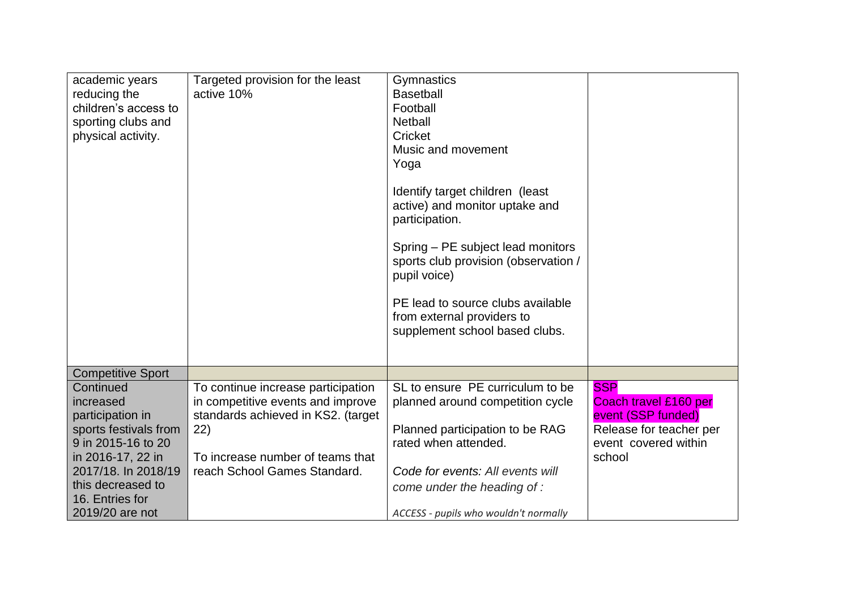| academic years<br>reducing the<br>children's access to<br>sporting clubs and<br>physical activity.                                                                                               | Targeted provision for the least<br>active 10%                                                                                                                                           | Gymnastics<br><b>Basetball</b><br>Football<br><b>Netball</b><br>Cricket<br>Music and movement<br>Yoga<br>Identify target children (least<br>active) and monitor uptake and<br>participation.<br>Spring – PE subject lead monitors<br>sports club provision (observation /<br>pupil voice)<br>PE lead to source clubs available<br>from external providers to<br>supplement school based clubs. |                                                                                                                        |
|--------------------------------------------------------------------------------------------------------------------------------------------------------------------------------------------------|------------------------------------------------------------------------------------------------------------------------------------------------------------------------------------------|------------------------------------------------------------------------------------------------------------------------------------------------------------------------------------------------------------------------------------------------------------------------------------------------------------------------------------------------------------------------------------------------|------------------------------------------------------------------------------------------------------------------------|
| <b>Competitive Sport</b>                                                                                                                                                                         |                                                                                                                                                                                          |                                                                                                                                                                                                                                                                                                                                                                                                |                                                                                                                        |
| Continued<br>increased<br>participation in<br>sports festivals from<br>9 in 2015-16 to 20<br>in 2016-17, 22 in<br>2017/18. In 2018/19<br>this decreased to<br>16. Entries for<br>2019/20 are not | To continue increase participation<br>in competitive events and improve<br>standards achieved in KS2. (target<br>22)<br>To increase number of teams that<br>reach School Games Standard. | SL to ensure PE curriculum to be<br>planned around competition cycle<br>Planned participation to be RAG<br>rated when attended.<br>Code for events: All events will<br>come under the heading of :<br>ACCESS - pupils who wouldn't normally                                                                                                                                                    | <b>SSP</b><br>Coach travel £160 per<br>event (SSP funded)<br>Release for teacher per<br>event covered within<br>school |